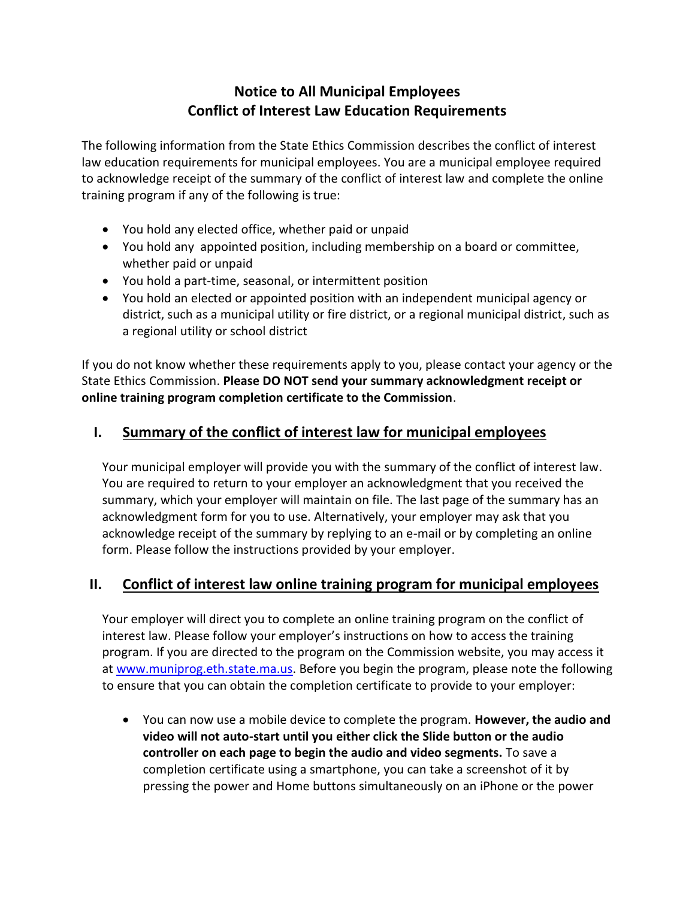## **Notice to All Municipal Employees Conflict of Interest Law Education Requirements**

The following information from the State Ethics Commission describes the conflict of interest law education requirements for municipal employees. You are a municipal employee required to acknowledge receipt of the summary of the conflict of interest law and complete the online training program if any of the following is true:

- You hold any elected office, whether paid or unpaid
- You hold any appointed position, including membership on a board or committee, whether paid or unpaid
- You hold a part-time, seasonal, or intermittent position
- You hold an elected or appointed position with an independent municipal agency or district, such as a municipal utility or fire district, or a regional municipal district, such as a regional utility or school district

If you do not know whether these requirements apply to you, please contact your agency or the State Ethics Commission. **Please DO NOT send your summary acknowledgment receipt or online training program completion certificate to the Commission**.

## **I. Summary of the conflict of interest law for municipal employees**

Your municipal employer will provide you with the summary of the conflict of interest law. You are required to return to your employer an acknowledgment that you received the summary, which your employer will maintain on file. The last page of the summary has an acknowledgment form for you to use. Alternatively, your employer may ask that you acknowledge receipt of the summary by replying to an e-mail or by completing an online form. Please follow the instructions provided by your employer.

## **II. Conflict of interest law online training program for municipal employees**

Your employer will direct you to complete an online training program on the conflict of interest law. Please follow your employer's instructions on how to access the training program. If you are directed to the program on the Commission website, you may access it at [www.muniprog.eth.state.ma.us.](http://www.muniprog.eth.state.ma.us/) Before you begin the program, please note the following to ensure that you can obtain the completion certificate to provide to your employer:

• You can now use a mobile device to complete the program. **However, the audio and video will not auto-start until you either click the Slide button or the audio controller on each page to begin the audio and video segments.** To save a completion certificate using a smartphone, you can take a screenshot of it by pressing the power and Home buttons simultaneously on an iPhone or the power